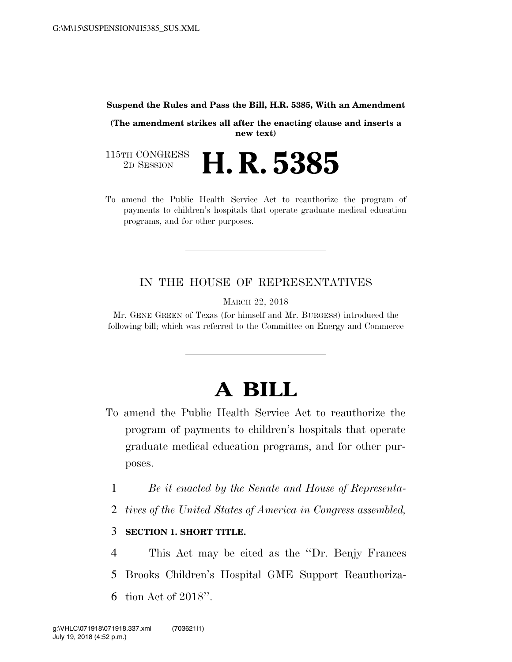## **Suspend the Rules and Pass the Bill, H.R. 5385, With an Amendment**

**(The amendment strikes all after the enacting clause and inserts a new text)** 

115TH CONGRESS<br>2D SESSION 2D SESSION **H. R. 5385**

To amend the Public Health Service Act to reauthorize the program of payments to children's hospitals that operate graduate medical education programs, and for other purposes.

## IN THE HOUSE OF REPRESENTATIVES

MARCH 22, 2018

Mr. GENE GREEN of Texas (for himself and Mr. BURGESS) introduced the following bill; which was referred to the Committee on Energy and Commerce

## **A BILL**

- To amend the Public Health Service Act to reauthorize the program of payments to children's hospitals that operate graduate medical education programs, and for other purposes.
	- 1 *Be it enacted by the Senate and House of Representa-*
	- 2 *tives of the United States of America in Congress assembled,*

## 3 **SECTION 1. SHORT TITLE.**

4 This Act may be cited as the ''Dr. Benjy Frances 5 Brooks Children's Hospital GME Support Reauthoriza-6 tion Act of 2018''.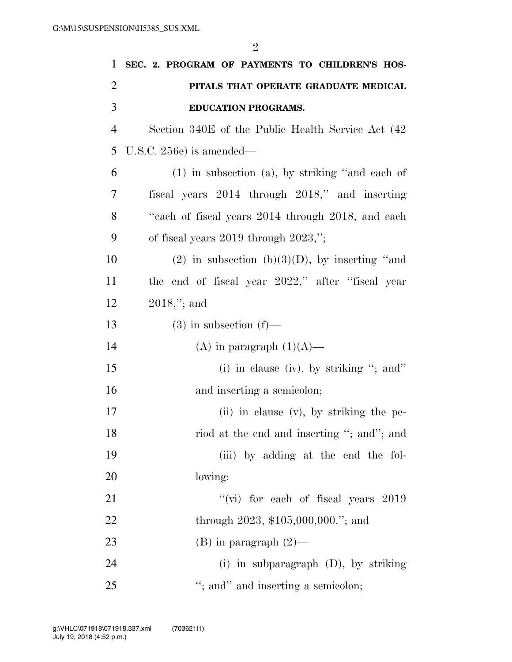2

| 1              | SEC. 2. PROGRAM OF PAYMENTS TO CHILDREN'S HOS-       |
|----------------|------------------------------------------------------|
| $\overline{2}$ | PITALS THAT OPERATE GRADUATE MEDICAL                 |
| 3              | <b>EDUCATION PROGRAMS.</b>                           |
| $\overline{4}$ | Section 340E of the Public Health Service Act (42)   |
| 5              | U.S.C. $256e$ ) is amended—                          |
| 6              | $(1)$ in subsection $(a)$ , by striking "and each of |
| 7              | fiscal years 2014 through 2018," and inserting       |
| 8              | "each of fiscal years 2014 through 2018, and each    |
| 9              | of fiscal years $2019$ through $2023$ ,";            |
| 10             | (2) in subsection (b)(3)(D), by inserting "and       |
| 11             | the end of fiscal year 2022," after "fiscal year     |
| 12             | $2018$ ,"; and                                       |
| 13             | $(3)$ in subsection $(f)$ —                          |
| 14             | (A) in paragraph $(1)(A)$ —                          |
| 15             | (i) in clause (iv), by striking "; and"              |
| 16             | and inserting a semicolon;                           |
| 17             | (ii) in clause $(v)$ , by striking the pe-           |
| 18             | riod at the end and inserting "; and"; and           |
| 19             | (iii) by adding at the end the fol-                  |
| <b>20</b>      | lowing:                                              |
| 21             | "(vi) for each of fiscal years $2019$                |
| 22             | through $2023$ , \$105,000,000."; and                |
| 23             | $(B)$ in paragraph $(2)$ —                           |
| 24             | (i) in subparagraph $(D)$ , by striking              |
| 25             | "; and" and inserting a semicolon;                   |